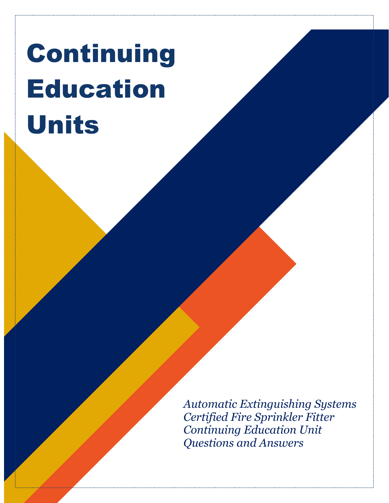# Continuing Education Units

*Automatic Extinguishing Systems Certified Fire Sprinkler Fitter Continuing Education Unit Questions and Answers*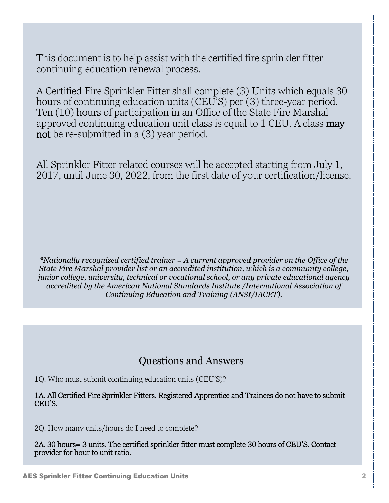This document is to help assist with the certified fire sprinkler fitter continuing education renewal process.

A Certified Fire Sprinkler Fitter shall complete (3) Units which equals 30 hours of continuing education units (CEU'S) per (3) three-year period. Ten (10) hours of participation in an Office of the State Fire Marshal approved continuing education unit class is equal to 1 CEU. A class may not be re-submitted in a  $(3)$  year period.

All Sprinkler Fitter related courses will be accepted starting from July 1, 2017, until June 30, 2022, from the first date of your certification/license.

*\*Nationally recognized certified trainer = A current approved provider on the Office of the State Fire Marshal provider list or an accredited institution, which is a community college, junior college, university, technical or vocational school, or any private educational agency accredited by the American National Standards Institute /International Association of Continuing Education and Training (ANSI/IACET).*

# Questions and Answers

1Q. Who must submit continuing education units (CEU'S)?

1A. All Certified Fire Sprinkler Fitters. Registered Apprentice and Trainees do not have to submit CEU'S.

2Q. How many units/hours do I need to complete?

2A. 30 hours= 3 units. The certified sprinkler fitter must complete 30 hours of CEU'S. Contact provider for hour to unit ratio.

AES Sprinkler Fitter Continuing Education Units 2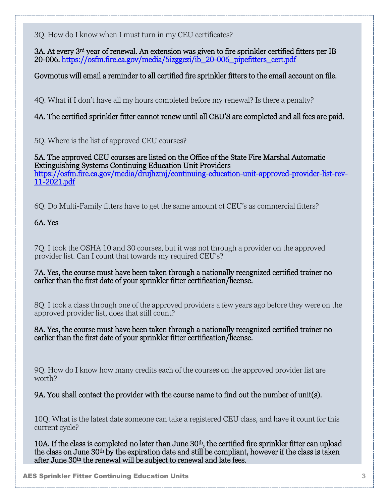3Q. How do I know when I must turn in my CEU certificates?

3A. At every 3rd year of renewal. An extension was given to fire sprinkler certified fitters per IB 20-006. [https://osfm.fire.ca.gov/media/5izggczi/ib\\_20-006\\_pipefitters\\_cert.pdf](https://osfm.fire.ca.gov/media/5izggczi/ib_20-006_pipefitters_cert.pdf) 

Govmotus will email a reminder to all certified fire sprinkler fitters to the email account on file.

4Q. What if I don't have all my hours completed before my renewal? Is there a penalty?

4A. The certified sprinkler fitter cannot renew until all CEU'S are completed and all fees are paid.

5Q. Where is the list of approved CEU courses?

5A. The approved CEU courses are listed on the Office of the State Fire Marshal Automatic Extinguishing Systems Continuing Education Unit Providers [https://osfm.fire.ca.gov/media/drujhzmj/continuing-education-unit-approved-provider-list-rev-](https://osfm.fire.ca.gov/media/drujhzmj/continuing-education-unit-approved-provider-list-rev-11-2021.pdf)[11-2021.pdf](https://osfm.fire.ca.gov/media/drujhzmj/continuing-education-unit-approved-provider-list-rev-11-2021.pdf) 

6Q. Do Multi-Family fitters have to get the same amount of CEU's as commercial fitters?

# 6A. Yes

7Q. I took the OSHA 10 and 30 courses, but it was not through a provider on the approved provider list. Can I count that towards my required CEU's?

7A. Yes, the course must have been taken through a nationally recognized certified trainer no earlier than the first date of your sprinkler fitter certification/license.

8Q. I took a class through one of the approved providers a few years ago before they were on the approved provider list, does that still count?

8A. Yes, the course must have been taken through a nationally recognized certified trainer no earlier than the first date of your sprinkler fitter certification/license.

9Q. How do I know how many credits each of the courses on the approved provider list are worth?

9A. You shall contact the provider with the course name to find out the number of unit(s).

10Q. What is the latest date someone can take a registered CEU class, and have it count for this current cycle?

10A. If the class is completed no later than June 30th, the certified fire sprinkler fitter can upload the class on June 30th by the expiration date and still be compliant, however if the class is taken after June 30<sup>th</sup> the renewal will be subject to renewal and late fees.

AES Sprinkler Fitter Continuing Education Units 3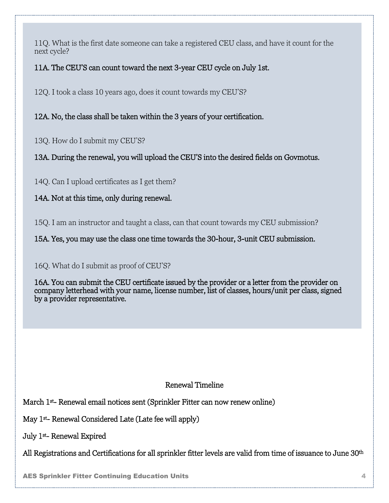11Q. What is the first date someone can take a registered CEU class, and have it count for the next cycle?

### 11A. The CEU'S can count toward the next 3-year CEU cycle on July 1st.

12Q. I took a class 10 years ago, does it count towards my CEU'S?

12A. No, the class shall be taken within the 3 years of your certification.

13Q. How do I submit my CEU'S?

13A. During the renewal, you will upload the CEU'S into the desired fields on Govmotus.

14Q. Can I upload certificates as I get them?

# 14A. Not at this time, only during renewal.

15Q. I am an instructor and taught a class, can that count towards my CEU submission?

15A. Yes, you may use the class one time towards the 30-hour, 3-unit CEU submission.

#### 16Q. What do I submit as proof of CEU'S?

16A. You can submit the CEU certificate issued by the provider or a letter from the provider on company letterhead with your name, license number, list of classes, hours/unit per class, signed by a provider representative.

# Renewal Timeline

March 1st- Renewal email notices sent (Sprinkler Fitter can now renew online)

May 1st- Renewal Considered Late (Late fee will apply)

July 1st- Renewal Expired

All Registrations and Certifications for all sprinkler fitter levels are valid from time of issuance to June 30<sup>th</sup>